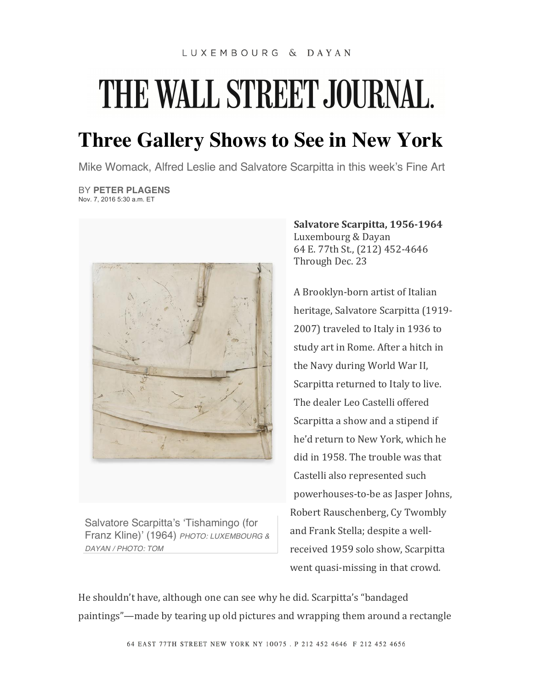## THE WALL STREET JOURNAL.

**Three Gallery Shows to See in New York**

Mike Womack, Alfred Leslie and Salvatore Scarpitta in this week's Fine Art

BY **PETER PLAGENS** Nov. 7, 2016 5:30 a.m. ET



Salvatore Scarpitta's 'Tishamingo (for Franz Kline)' (1964) *PHOTO: LUXEMBOURG & DAYAN / PHOTO: TOM*

**Salvatore Scarpitta, 1956-1964** Luxembourg & Dayan 64 E. 77th St., (212) 452-4646 Through Dec. 23

A Brooklyn-born artist of Italian heritage, Salvatore Scarpitta (1919-2007) traveled to Italy in 1936 to study art in Rome. After a hitch in the Navy during World War II, Scarpitta returned to Italy to live. The dealer Leo Castelli offered Scarpitta a show and a stipend if he'd return to New York, which he did in 1958. The trouble was that Castelli also represented such powerhouses-to-be as Jasper Johns, Robert Rauschenberg, Cy Twombly and Frank Stella; despite a wellreceived 1959 solo show, Scarpitta went quasi-missing in that crowd.

He shouldn't have, although one can see why he did. Scarpitta's "bandaged paintings"—made by tearing up old pictures and wrapping them around a rectangle